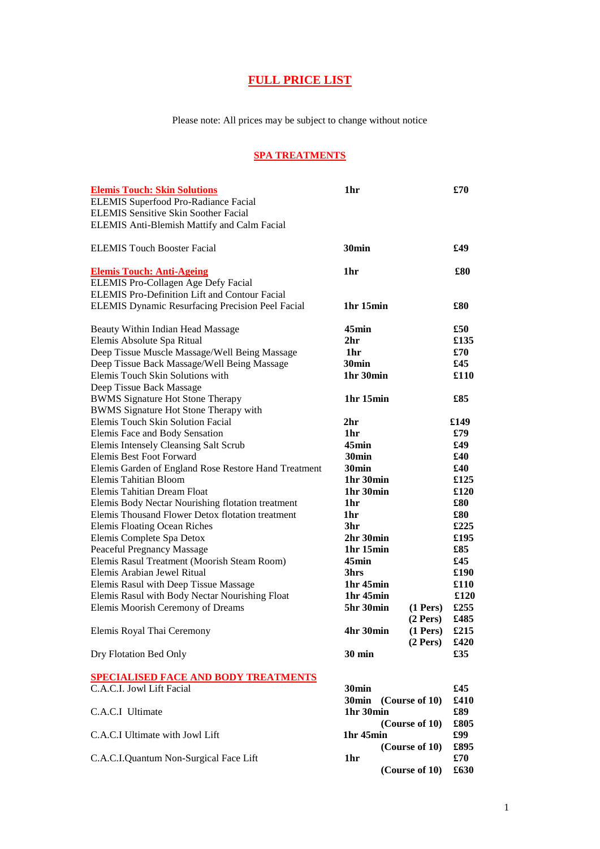# **FULL PRICE LIST**

Please note: All prices may be subject to change without notice

# **SPA TREATMENTS**

| <b>Elemis Touch: Skin Solutions</b>                     | 1hr                               |                | £70  |
|---------------------------------------------------------|-----------------------------------|----------------|------|
| <b>ELEMIS Superfood Pro-Radiance Facial</b>             |                                   |                |      |
| <b>ELEMIS Sensitive Skin Soother Facial</b>             |                                   |                |      |
| <b>ELEMIS Anti-Blemish Mattify and Calm Facial</b>      |                                   |                |      |
|                                                         |                                   |                |      |
| <b>ELEMIS Touch Booster Facial</b>                      | 30 <sub>min</sub>                 |                | £49  |
|                                                         |                                   |                |      |
| <b>Elemis Touch: Anti-Ageing</b>                        | 1hr                               |                | £80  |
| ELEMIS Pro-Collagen Age Defy Facial                     |                                   |                |      |
| <b>ELEMIS Pro-Definition Lift and Contour Facial</b>    |                                   |                |      |
| <b>ELEMIS Dynamic Resurfacing Precision Peel Facial</b> | 1hr 15min                         |                | £80  |
|                                                         |                                   |                |      |
| Beauty Within Indian Head Massage                       | $45$ min                          |                | £50  |
| Elemis Absolute Spa Ritual                              | 2 <sub>hr</sub>                   |                | £135 |
| Deep Tissue Muscle Massage/Well Being Massage           | 1hr                               |                | £70  |
| Deep Tissue Back Massage/Well Being Massage             | 30 <sub>min</sub>                 |                | £45  |
| Elemis Touch Skin Solutions with                        | 1hr 30min                         |                | £110 |
| Deep Tissue Back Massage                                |                                   |                |      |
| <b>BWMS Signature Hot Stone Therapy</b>                 | 1hr 15min                         |                | £85  |
| <b>BWMS Signature Hot Stone Therapy with</b>            |                                   |                |      |
| <b>Elemis Touch Skin Solution Facial</b>                | 2 <sub>hr</sub>                   |                | £149 |
| <b>Elemis Face and Body Sensation</b>                   | 1hr                               |                | £79  |
| <b>Elemis Intensely Cleansing Salt Scrub</b>            | $45$ min                          |                | £49  |
| Elemis Best Foot Forward                                | 30 <sub>min</sub>                 |                | £40  |
| Elemis Garden of England Rose Restore Hand Treatment    | 30 <sub>min</sub>                 |                | £40  |
| Elemis Tahitian Bloom                                   | 1hr 30min                         |                | £125 |
| Elemis Tahitian Dream Float                             | 1hr 30min                         |                | £120 |
| Elemis Body Nectar Nourishing flotation treatment       | 1hr                               |                | \$80 |
| Elemis Thousand Flower Detox flotation treatment        | 1hr                               |                | £80  |
| <b>Elemis Floating Ocean Riches</b>                     | 3hr                               |                | £225 |
| Elemis Complete Spa Detox                               | 2hr 30min                         |                | £195 |
| Peaceful Pregnancy Massage                              | 1hr 15min                         |                | £85  |
| Elemis Rasul Treatment (Moorish Steam Room)             | $45$ min                          |                | £45  |
| Elemis Arabian Jewel Ritual                             | 3hrs                              |                | £190 |
| Elemis Rasul with Deep Tissue Massage                   | 1 <sub>hr</sub> 45 <sub>min</sub> |                | £110 |
| Elemis Rasul with Body Nectar Nourishing Float          | 1hr 45min                         |                | £120 |
| Elemis Moorish Ceremony of Dreams                       | 5hr 30min                         | $(1$ Pers $)$  | £255 |
|                                                         |                                   | $(2$ Pers $)$  | £485 |
| Elemis Royal Thai Ceremony                              | 4hr 30min                         | $(1$ Pers $)$  | £215 |
|                                                         |                                   | $(2$ Pers)     | £420 |
| Dry Flotation Bed Only                                  | <b>30 min</b>                     |                | £35  |
|                                                         |                                   |                |      |
| <b>SPECIALISED FACE AND BODY TREATMENTS</b>             |                                   |                |      |
| C.A.C.I. Jowl Lift Facial                               | 30 <sub>min</sub>                 |                | £45  |
|                                                         | 30 <sub>min</sub>                 | (Course of 10) | £410 |
| C.A.C.I Ultimate                                        | 1hr 30min                         |                | £89  |
|                                                         |                                   | (Course of 10) | £805 |
| C.A.C.I Ultimate with Jowl Lift                         | 1hr 45min                         |                | £99  |
|                                                         |                                   | (Course of 10) | £895 |
| C.A.C.I.Quantum Non-Surgical Face Lift                  | 1hr                               |                | £70  |
|                                                         |                                   | (Course of 10) | £630 |
|                                                         |                                   |                |      |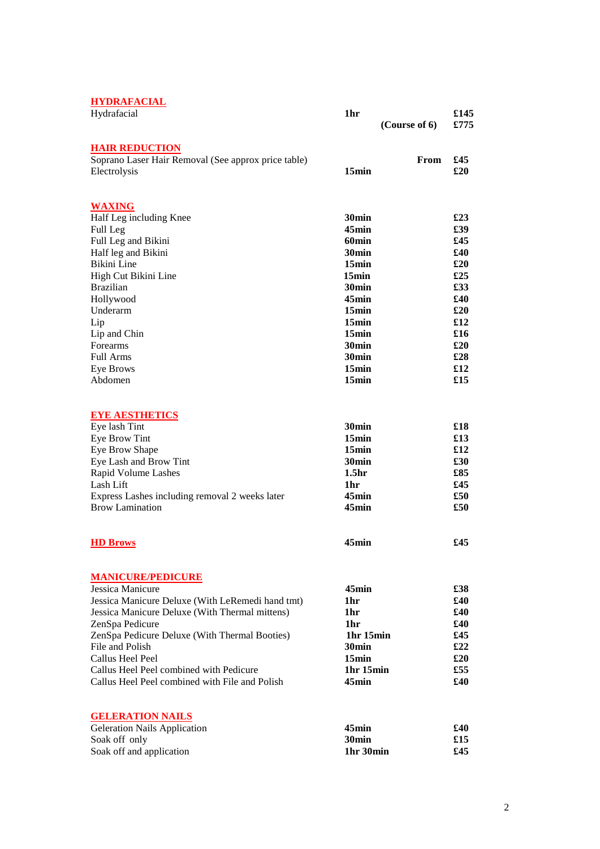## **HYDRAFACIAL**

| <u>HIDNIHIVIIID</u>                                                      |                                   |               |              |
|--------------------------------------------------------------------------|-----------------------------------|---------------|--------------|
| Hydrafacial                                                              | 1hr                               | (Course of 6) | £145<br>£775 |
| <b>HAIR REDUCTION</b>                                                    |                                   |               |              |
| Soprano Laser Hair Removal (See approx price table)                      |                                   | From          | £45          |
| Electrolysis                                                             | 15min                             |               | £20          |
| <b>WAXING</b>                                                            |                                   |               |              |
| Half Leg including Knee                                                  | 30 <sub>min</sub>                 |               | £23          |
| Full Leg                                                                 | 45min                             |               | £39          |
| Full Leg and Bikini                                                      | 60 <sub>min</sub>                 |               | £45          |
| Half leg and Bikini                                                      | 30 <sub>min</sub>                 |               | £40          |
| Bikini Line                                                              | 15min                             |               | £20          |
| High Cut Bikini Line                                                     | 15min                             |               | £25          |
| <b>Brazilian</b>                                                         | 30 <sub>min</sub><br>$45$ min     |               | £33<br>£40   |
| Hollywood<br>Underarm                                                    | 15min                             |               | £20          |
| Lip                                                                      | 15min                             |               | \$12         |
| Lip and Chin                                                             | 15min                             |               | \$16         |
| Forearms                                                                 | 30 <sub>min</sub>                 |               | \$20         |
| Full Arms                                                                | 30 <sub>min</sub>                 |               | £28          |
| <b>Eye Brows</b>                                                         | 15min                             |               | \$12         |
| Abdomen                                                                  | 15min                             |               | £15          |
| EYE AESTHEITICS                                                          |                                   |               |              |
| Eye lash Tint                                                            | 30 <sub>min</sub>                 |               | £18          |
| Eye Brow Tint                                                            | 15 <sub>min</sub>                 |               | £13          |
| Eye Brow Shape                                                           | 15min                             |               | \$12         |
| Eye Lash and Brow Tint                                                   | 30 <sub>min</sub>                 |               | £30          |
| Rapid Volume Lashes                                                      | 1.5 <sub>hr</sub>                 |               | £85          |
| Lash Lift                                                                | 1hr                               |               | £45          |
| Express Lashes including removal 2 weeks later<br><b>Brow Lamination</b> | 45min<br>$45$ min                 |               | £50<br>£50   |
|                                                                          |                                   |               |              |
| <b>HD Brows</b>                                                          | 45min                             |               | £45          |
| <b>MANICURE/PEDICURE</b>                                                 |                                   |               |              |
| Jessica Manicure                                                         | 45min                             |               | £38          |
| Jessica Manicure Deluxe (With LeRemedi hand tmt)                         | 1hr                               |               | £40          |
| Jessica Manicure Deluxe (With Thermal mittens)                           | 1hr                               |               | £40          |
| ZenSpa Pedicure                                                          | 1hr                               |               | £40          |
| ZenSpa Pedicure Deluxe (With Thermal Booties)                            | 1 <sup>hr</sup> 15 <sup>min</sup> |               | £45          |
| File and Polish                                                          | 30 <sub>min</sub>                 |               | £22          |
| Callus Heel Peel<br>Callus Heel Peel combined with Pedicure              | 15min<br>1hr 15min                |               | £20<br>£55   |
| Callus Heel Peel combined with File and Polish                           | 45min                             |               | £40          |
|                                                                          |                                   |               |              |
| <b>GELERATION NAILS</b>                                                  |                                   |               |              |
| <b>Geleration Nails Application</b>                                      | 45min<br>30 <sub>min</sub>        |               | £40<br>£15   |
| Soak off only<br>Soak off and application                                | 1hr 30min                         |               | £45          |
|                                                                          |                                   |               |              |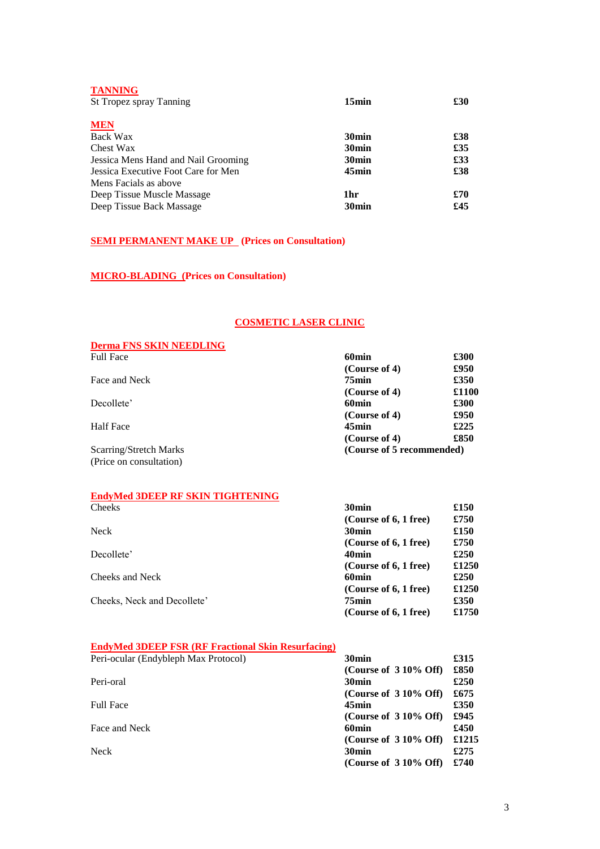| <b>TANNING</b><br>St Tropez spray Tanning | 15min             | £30 |
|-------------------------------------------|-------------------|-----|
| <b>MEN</b>                                |                   |     |
| Back Wax                                  | 30 <sub>min</sub> | £38 |
| Chest Wax                                 | 30 <sub>min</sub> | £35 |
| Jessica Mens Hand and Nail Grooming       | 30 <sub>min</sub> | £33 |
| Jessica Executive Foot Care for Men       | 45min             | £38 |
| Mens Facials as above                     |                   |     |
| Deep Tissue Muscle Massage                | 1 <sub>hr</sub>   | £70 |
| Deep Tissue Back Massage                  | 30 <sub>min</sub> | £45 |

## **SEMI PERMANENT MAKE UP** (Prices on Consultation)

## **MICRO-BLADING (Prices on Consultation)**

#### **COSMETIC LASER CLINIC**

#### **Derma FNS SKIN NEEDLING**

| <b>Full Face</b>        | 60 <sub>min</sub>         | £300  |
|-------------------------|---------------------------|-------|
|                         | (Course of 4)             | £950  |
| Face and Neck           | 75min                     | £350  |
|                         | (Course of 4)             | £1100 |
| Decollete'              | 60min                     | £300  |
|                         | (Course of 4)             | £950  |
| <b>Half Face</b>        | 45min                     | £225  |
|                         | (Course of 4)             | £850  |
| Scarring/Stretch Marks  | (Course of 5 recommended) |       |
| (Price on consultation) |                           |       |

#### **EndyMed 3DEEP RF SKIN TIGHTENING** Cheeks **30min £150**

|                             | (Course of 6, 1 free) | £750  |
|-----------------------------|-----------------------|-------|
| Neck                        | 30 <sub>min</sub>     | £150  |
|                             | (Course of 6, 1 free) | £750  |
| Decollete'                  | 40 <sub>min</sub>     | £250  |
|                             | (Course of 6, 1 free) | £1250 |
| Cheeks and Neck             | 60 <sub>min</sub>     | £250  |
|                             | (Course of 6, 1 free) | £1250 |
| Cheeks, Neck and Decollete' | 75min                 | £350  |
|                             | (Course of 6, 1 free) | £1750 |

## **EndyMed 3DEEP FSR (RF Fractional Skin Resurfacing)**

| Peri-ocular (Endybleph Max Protocol) | 30 <sub>min</sub>       | £315  |
|--------------------------------------|-------------------------|-------|
|                                      | (Course of $310\%$ Off) | £850  |
| Peri-oral                            | 30 <sub>min</sub>       | £250  |
|                                      | (Course of $310\%$ Off) | £675  |
| <b>Full Face</b>                     | 45min                   | £350  |
|                                      | (Course of $310\%$ Off) | £945  |
| Face and Neck                        | 60min                   | £450  |
|                                      | (Course of $310\%$ Off) | £1215 |
| Neck                                 | 30 <sub>min</sub>       | £275  |
|                                      | (Course of $310\%$ Off) | £740  |
|                                      |                         |       |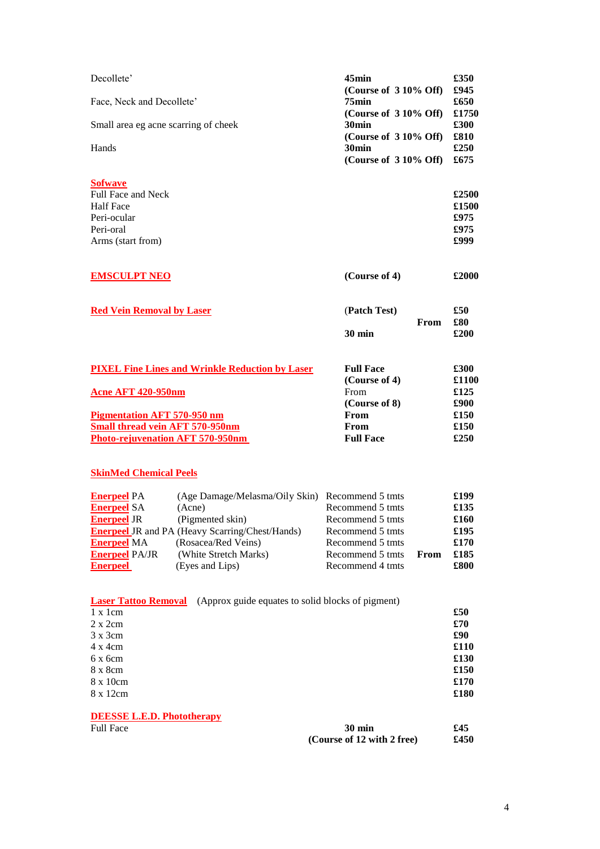| 45min<br>(Course of 310% Off)<br>$75$ min<br>(Course of 3 10% Off)<br>30 <sub>min</sub><br>(Course of 310% Off)<br>30 <sub>min</sub><br>(Course of 3 10% Off)                   | £350<br>£945<br>£650<br>£1750<br>£300<br>£810<br>£250<br>£675<br>£2500<br>£1500<br>£975<br>£975<br>£999 |
|---------------------------------------------------------------------------------------------------------------------------------------------------------------------------------|---------------------------------------------------------------------------------------------------------|
| (Course of 4)                                                                                                                                                                   | £2000                                                                                                   |
| (Patch Test)<br>From<br><b>30 min</b>                                                                                                                                           | £50<br>£80<br>£200                                                                                      |
| <b>Full Face</b><br>(Course of 4)<br>From<br>(Course of 8)<br>From<br>From<br><b>Full Face</b>                                                                                  | £300<br>£1100<br>£125<br>£900<br>£150<br>£150<br>£250                                                   |
| (Age Damage/Melasma/Oily Skin) Recommend 5 tmts<br>Recommend 5 tmts<br>Recommend 5 tmts<br>Recommend 5 tmts<br>Recommend 5 tmts<br>Recommend 5 tmts<br>From<br>Recommend 4 tmts | £199<br>£135<br>£160<br>£195<br>£170<br>£185<br>£800                                                    |
| <b>Laser Tattoo Removal</b> (Approx guide equates to solid blocks of pigment)<br><b>30 min</b>                                                                                  | £50<br>\$70<br>\$90<br>£110<br>£130<br>£150<br>£170<br>£180<br>£45<br>£450                              |
|                                                                                                                                                                                 | (Course of 12 with 2 free)                                                                              |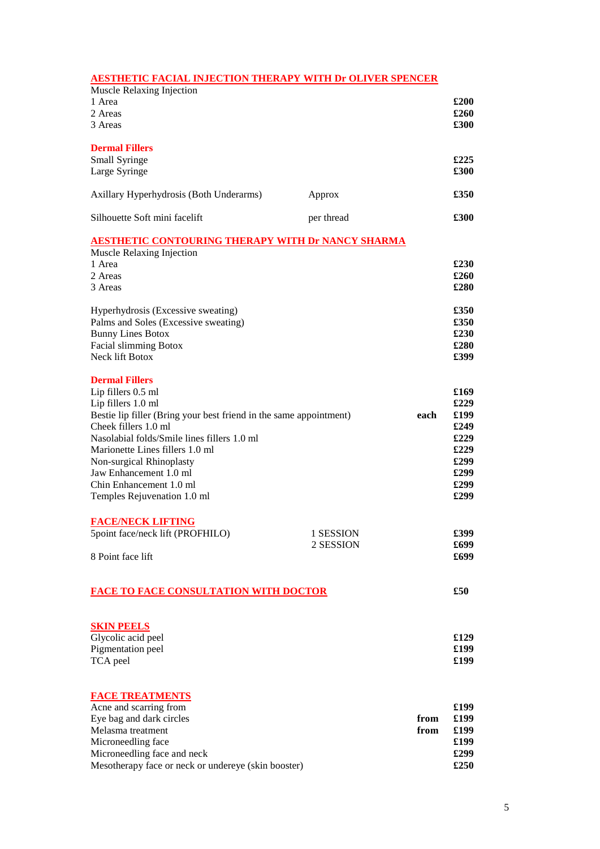## **AESTHETIC FACIAL INJECTION THERAPY WITH Dr OLIVER SPENCER**

| Muscle Relaxing Injection<br>1 Area<br>2 Areas<br>3 Areas                                                                                                                                                                                                                                                                                                         |                        |              | £200<br>$\pounds 260$<br>$\pounds 300$                                       |
|-------------------------------------------------------------------------------------------------------------------------------------------------------------------------------------------------------------------------------------------------------------------------------------------------------------------------------------------------------------------|------------------------|--------------|------------------------------------------------------------------------------|
| <b>Dermal Fillers</b><br>Small Syringe<br>Large Syringe                                                                                                                                                                                                                                                                                                           |                        |              | £225<br>£300                                                                 |
| Axillary Hyperhydrosis (Both Underarms)                                                                                                                                                                                                                                                                                                                           | Approx                 |              | £350                                                                         |
| Silhouette Soft mini facelift                                                                                                                                                                                                                                                                                                                                     | per thread             |              | £300                                                                         |
| <b>AESTHETIC CONTOURING THERAPY WITH Dr NANCY SHARMA</b><br>Muscle Relaxing Injection<br>1 Area<br>2 Areas<br>3 Areas<br>Hyperhydrosis (Excessive sweating)                                                                                                                                                                                                       |                        |              | £230<br>£260<br>£280<br>£350                                                 |
| Palms and Soles (Excessive sweating)<br><b>Bunny Lines Botox</b><br>Facial slimming Botox<br>Neck lift Botox                                                                                                                                                                                                                                                      |                        |              | £350<br>£230<br>£280<br>£399                                                 |
| <b>Dermal Fillers</b><br>Lip fillers 0.5 ml<br>Lip fillers 1.0 ml<br>Bestie lip filler (Bring your best friend in the same appointment)<br>Cheek fillers 1.0 ml<br>Nasolabial folds/Smile lines fillers 1.0 ml<br>Marionette Lines fillers 1.0 ml<br>Non-surgical Rhinoplasty<br>Jaw Enhancement 1.0 ml<br>Chin Enhancement 1.0 ml<br>Temples Rejuvenation 1.0 ml |                        | each         | £169<br>£229<br>£199<br>£249<br>£229<br>£229<br>£299<br>£299<br>£299<br>£299 |
| <b>FACE/NECK LIFTING</b><br>5point face/neck lift (PROFHILO)<br>8 Point face lift                                                                                                                                                                                                                                                                                 | 1 SESSION<br>2 SESSION |              | £399<br>£699<br>£699                                                         |
| <b>FACE TO FACE CONSULTATION WITH DOCTOR</b>                                                                                                                                                                                                                                                                                                                      |                        |              | £50                                                                          |
| <b>SKIN PEELS</b><br>Glycolic acid peel<br>Pigmentation peel<br>TCA peel                                                                                                                                                                                                                                                                                          |                        |              | £129<br>£199<br>£199                                                         |
| <b>FACE TREATMENTS</b><br>Acne and scarring from<br>Eye bag and dark circles<br>Melasma treatment<br>Microneedling face<br>Microneedling face and neck<br>Mesotherapy face or neck or undereye (skin booster)                                                                                                                                                     |                        | from<br>from | £199<br>£199<br>£199<br>£199<br>£299<br>£250                                 |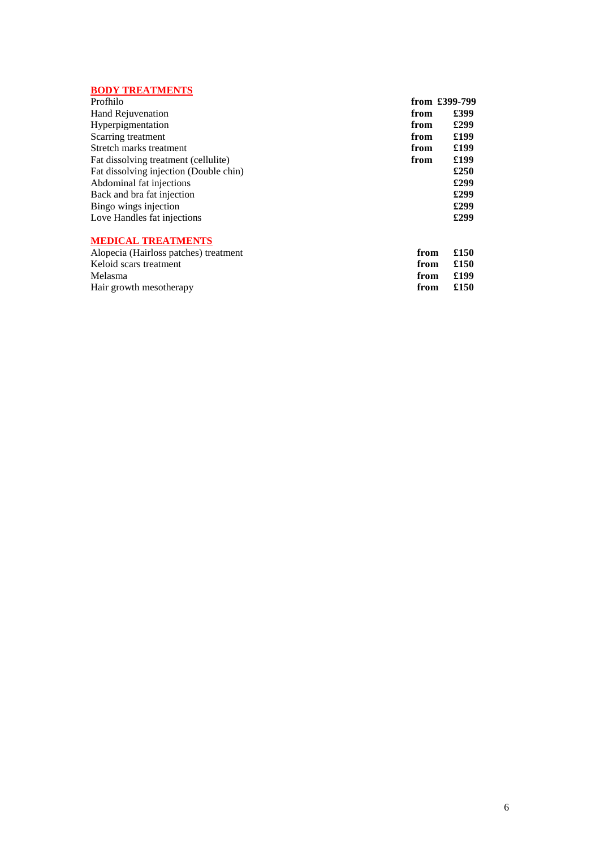## **BODY TREATMENTS**

| Profhilo                               |      | from £399-799 |
|----------------------------------------|------|---------------|
| Hand Rejuvenation                      | from | £399          |
| Hyperpigmentation                      | from | £299          |
| Scarring treatment                     | from | £199          |
| Stretch marks treatment                | from | £199          |
| Fat dissolving treatment (cellulite)   | from | £199          |
| Fat dissolving injection (Double chin) |      | £250          |
| Abdominal fat injections               |      | £299          |
| Back and bra fat injection             |      | £299          |
| Bingo wings injection                  |      | £299          |
| Love Handles fat injections            |      | £299          |
| <b>MEDICAL TREATMENTS</b>              |      |               |
| Alopecia (Hairloss patches) treatment  | from | £150          |
| Keloid scars treatment                 | from | £150          |
| Melasma                                | from | £199          |
| Hair growth mesotherapy                | from | £150          |

Hair growth mesotherapy **from from**